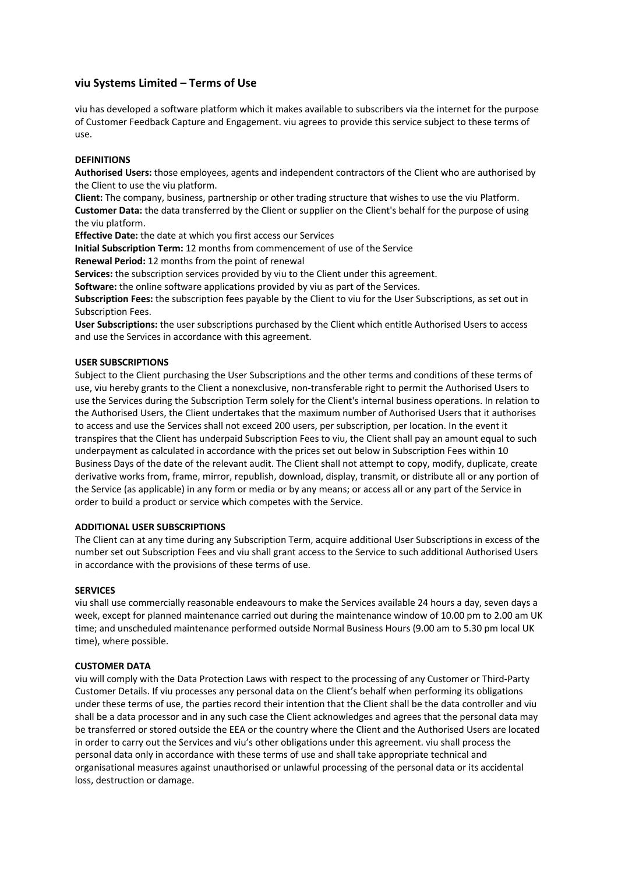# **viu Systems Limited – Terms of Use**

viu has developed a software platform which it makes available to subscribers via the internet for the purpose of Customer Feedback Capture and Engagement. viu agrees to provide this service subject to these terms of use.

# **DEFINITIONS**

**Authorised Users:** those employees, agents and independent contractors of the Client who are authorised by the Client to use the viu platform.

**Client:** The company, business, partnership or other trading structure that wishes to use the viu Platform. **Customer Data:** the data transferred by the Client or supplier on the Client's behalf for the purpose of using the viu platform.

**Effective Date:** the date at which you first access our Services

**Initial Subscription Term:** 12 months from commencement of use of the Service

**Renewal Period:** 12 months from the point of renewal

**Services:** the subscription services provided by viu to the Client under this agreement.

**Software:** the online software applications provided by viu as part of the Services.

**Subscription Fees:** the subscription fees payable by the Client to viu for the User Subscriptions, as set out in Subscription Fees.

**User Subscriptions:** the user subscriptions purchased by the Client which entitle Authorised Users to access and use the Services in accordance with this agreement.

## **USER SUBSCRIPTIONS**

Subject to the Client purchasing the User Subscriptions and the other terms and conditions of these terms of use, viu hereby grants to the Client a nonexclusive, non-transferable right to permit the Authorised Users to use the Services during the Subscription Term solely for the Client's internal business operations. In relation to the Authorised Users, the Client undertakes that the maximum number of Authorised Users that it authorises to access and use the Services shall not exceed 200 users, per subscription, per location. In the event it transpires that the Client has underpaid Subscription Fees to viu, the Client shall pay an amount equal to such underpayment as calculated in accordance with the prices set out below in Subscription Fees within 10 Business Days of the date of the relevant audit. The Client shall not attempt to copy, modify, duplicate, create derivative works from, frame, mirror, republish, download, display, transmit, or distribute all or any portion of the Service (as applicable) in any form or media or by any means; or access all or any part of the Service in order to build a product or service which competes with the Service.

## **ADDITIONAL USER SUBSCRIPTIONS**

The Client can at any time during any Subscription Term, acquire additional User Subscriptions in excess of the number set out Subscription Fees and viu shall grant access to the Service to such additional Authorised Users in accordance with the provisions of these terms of use.

#### **SERVICES**

viu shall use commercially reasonable endeavours to make the Services available 24 hours a day, seven days a week, except for planned maintenance carried out during the maintenance window of 10.00 pm to 2.00 am UK time; and unscheduled maintenance performed outside Normal Business Hours (9.00 am to 5.30 pm local UK time), where possible.

## **CUSTOMER DATA**

viu will comply with the Data Protection Laws with respect to the processing of any Customer or Third-Party Customer Details. If viu processes any personal data on the Client's behalf when performing its obligations under these terms of use, the parties record their intention that the Client shall be the data controller and viu shall be a data processor and in any such case the Client acknowledges and agrees that the personal data may be transferred or stored outside the EEA or the country where the Client and the Authorised Users are located in order to carry out the Services and viu's other obligations under this agreement. viu shall process the personal data only in accordance with these terms of use and shall take appropriate technical and organisational measures against unauthorised or unlawful processing of the personal data or its accidental loss, destruction or damage.